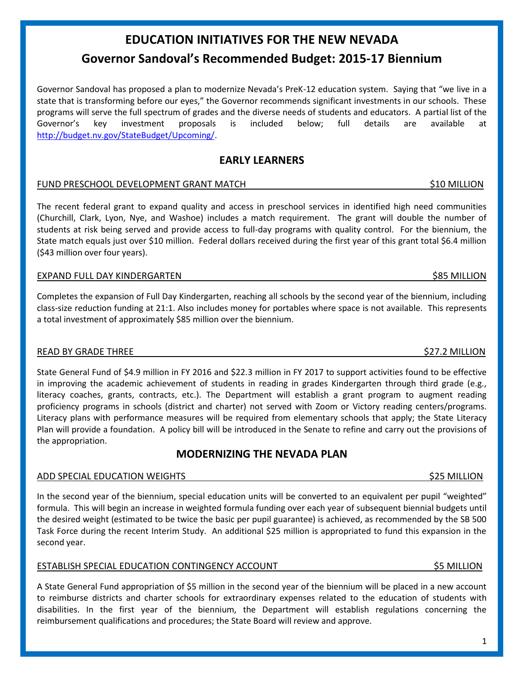# **Governor Sandoval's Recommended Budget: 2015-17 Biennium**

**EDUCATION INITIATIVES FOR THE NEW NEVADA**

Governor Sandoval has proposed a plan to modernize Nevada's PreK-12 education system. Saying that "we live in a state that is transforming before our eyes," the Governor recommends significant investments in our schools. These programs will serve the full spectrum of grades and the diverse needs of students and educators. A partial list of the Governor's key investment proposals is included below; full details are available at [http://budget.nv.gov/StateBudget/Upcoming/.](http://budget.nv.gov/StateBudget/Upcoming/)

## **EARLY LEARNERS**

### FUND PRESCHOOL DEVELOPMENT GRANT MATCH **\$10 MILLION** \$10 MILLION

The recent federal grant to expand quality and access in preschool services in identified high need communities (Churchill, Clark, Lyon, Nye, and Washoe) includes a match requirement. The grant will double the number of students at risk being served and provide access to full-day programs with quality control. For the biennium, the State match equals just over \$10 million. Federal dollars received during the first year of this grant total \$6.4 million (\$43 million over four years).

### EXPAND FULL DAY KINDERGARTEN **\$85 MILLION** \$85 MILLION

Completes the expansion of Full Day Kindergarten, reaching all schools by the second year of the biennium, including class-size reduction funding at 21:1. Also includes money for portables where space is not available. This represents a total investment of approximately \$85 million over the biennium.

### READ BY GRADE THREE SERVICES AND THE SERVICES OF SALES AND STRUCK AND SALES AND SALES AND SALES AND SALES AND SALES AND SALES AND SALES AND SALES AND SALES AND SALES AND SALES AND SALES AND SALES AND SALES AND SALES AND SA

State General Fund of \$4.9 million in FY 2016 and \$22.3 million in FY 2017 to support activities found to be effective in improving the academic achievement of students in reading in grades Kindergarten through third grade (e.g., literacy coaches, grants, contracts, etc.). The Department will establish a grant program to augment reading proficiency programs in schools (district and charter) not served with Zoom or Victory reading centers/programs. Literacy plans with performance measures will be required from elementary schools that apply; the State Literacy Plan will provide a foundation. A policy bill will be introduced in the Senate to refine and carry out the provisions of the appropriation.

# **MODERNIZING THE NEVADA PLAN**

# ADD SPECIAL EDUCATION WEIGHTS **\$25 MILLION** \$25 MILLION

In the second year of the biennium, special education units will be converted to an equivalent per pupil "weighted" formula. This will begin an increase in weighted formula funding over each year of subsequent biennial budgets until the desired weight (estimated to be twice the basic per pupil guarantee) is achieved, as recommended by the SB 500 Task Force during the recent Interim Study. An additional \$25 million is appropriated to fund this expansion in the second year.

### ESTABLISH SPECIAL EDUCATION CONTINGENCY ACCOUNT \$5 MILLION

A State General Fund appropriation of \$5 million in the second year of the biennium will be placed in a new account to reimburse districts and charter schools for extraordinary expenses related to the education of students with disabilities. In the first year of the biennium, the Department will establish regulations concerning the reimbursement qualifications and procedures; the State Board will review and approve.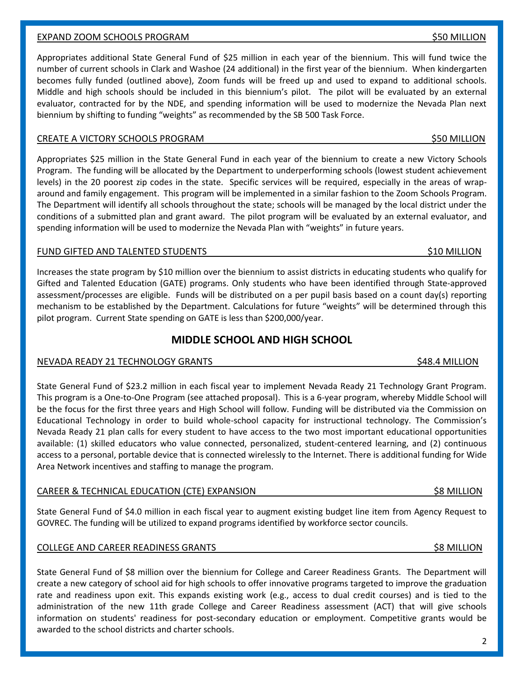### EXPAND ZOOM SCHOOLS PROGRAM **\$50 MILLION** \$50 MILLION

Appropriates additional State General Fund of \$25 million in each year of the biennium. This will fund twice the number of current schools in Clark and Washoe (24 additional) in the first year of the biennium. When kindergarten becomes fully funded (outlined above), Zoom funds will be freed up and used to expand to additional schools. Middle and high schools should be included in this biennium's pilot. The pilot will be evaluated by an external evaluator, contracted for by the NDE, and spending information will be used to modernize the Nevada Plan next biennium by shifting to funding "weights" as recommended by the SB 500 Task Force.

### CREATE A VICTORY SCHOOLS PROGRAM  $\sim$

Appropriates \$25 million in the State General Fund in each year of the biennium to create a new Victory Schools Program. The funding will be allocated by the Department to underperforming schools (lowest student achievement levels) in the 20 poorest zip codes in the state. Specific services will be required, especially in the areas of wraparound and family engagement. This program will be implemented in a similar fashion to the Zoom Schools Program. The Department will identify all schools throughout the state; schools will be managed by the local district under the conditions of a submitted plan and grant award. The pilot program will be evaluated by an external evaluator, and spending information will be used to modernize the Nevada Plan with "weights" in future years.

### FUND GIFTED AND TALENTED STUDENTS TO A SERIES AND TALENTED STUDENTS AND SAME ASSESSED AND LOCAL THREE STUDENTS

Increases the state program by \$10 million over the biennium to assist districts in educating students who qualify for Gifted and Talented Education (GATE) programs. Only students who have been identified through State-approved assessment/processes are eligible. Funds will be distributed on a per pupil basis based on a count day(s) reporting mechanism to be established by the Department. Calculations for future "weights" will be determined through this pilot program. Current State spending on GATE is less than \$200,000/year.

### **MIDDLE SCHOOL AND HIGH SCHOOL**

### NEVADA READY 21 TECHNOLOGY GRANTS **\$48.4 MILLION** \$48.4 MILLION

State General Fund of \$23.2 million in each fiscal year to implement Nevada Ready 21 Technology Grant Program. This program is a One-to-One Program (see attached proposal). This is a 6-year program, whereby Middle School will be the focus for the first three years and High School will follow. Funding will be distributed via the Commission on Educational Technology in order to build whole-school capacity for instructional technology. The Commission's Nevada Ready 21 plan calls for every student to have access to the two most important educational opportunities available: (1) skilled educators who value connected, personalized, student-centered learning, and (2) continuous access to a personal, portable device that is connected wirelessly to the Internet. There is additional funding for Wide Area Network incentives and staffing to manage the program.

### CAREER & TECHNICAL EDUCATION (CTE) EXPANSION \$8 MILLION

State General Fund of \$4.0 million in each fiscal year to augment existing budget line item from Agency Request to GOVREC. The funding will be utilized to expand programs identified by workforce sector councils.

### COLLEGE AND CAREER READINESS GRANTS \$8 MILLION

State General Fund of \$8 million over the biennium for College and Career Readiness Grants. The Department will create a new category of school aid for high schools to offer innovative programs targeted to improve the graduation rate and readiness upon exit. This expands existing work (e.g., access to dual credit courses) and is tied to the administration of the new 11th grade College and Career Readiness assessment (ACT) that will give schools information on students' readiness for post-secondary education or employment. Competitive grants would be awarded to the school districts and charter schools.

### 2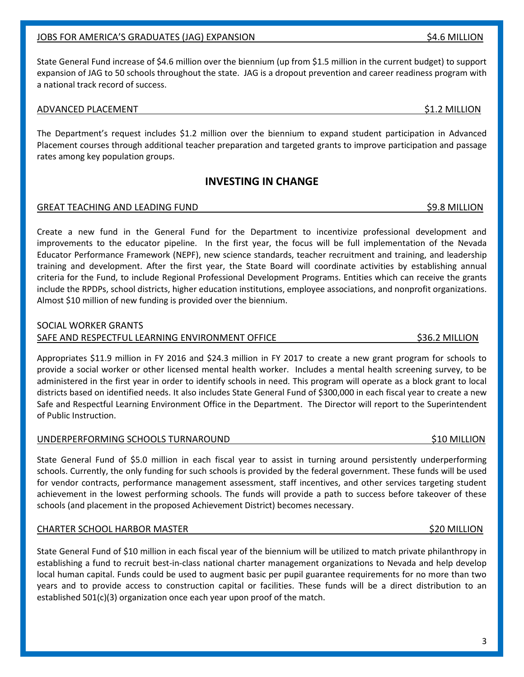### JOBS FOR AMERICA'S GRADUATES (JAG) EXPANSION \$4.6 MILLION

State General Fund increase of \$4.6 million over the biennium (up from \$1.5 million in the current budget) to support expansion of JAG to 50 schools throughout the state. JAG is a dropout prevention and career readiness program with a national track record of success.

### ADVANCED PLACEMENT **AUGUST 2** MILLION **51.2 MILLION**

The Department's request includes \$1.2 million over the biennium to expand student participation in Advanced Placement courses through additional teacher preparation and targeted grants to improve participation and passage rates among key population groups.

### **INVESTING IN CHANGE**

### GREAT TEACHING AND LEADING FUND **\$9.8 MILLION** \$9.8 MILLION

Create a new fund in the General Fund for the Department to incentivize professional development and improvements to the educator pipeline. In the first year, the focus will be full implementation of the Nevada Educator Performance Framework (NEPF), new science standards, teacher recruitment and training, and leadership training and development. After the first year, the State Board will coordinate activities by establishing annual criteria for the Fund, to include Regional Professional Development Programs. Entities which can receive the grants include the RPDPs, school districts, higher education institutions, employee associations, and nonprofit organizations. Almost \$10 million of new funding is provided over the biennium.

### SOCIAL WORKER GRANTS

### SAFE AND RESPECTFUL LEARNING ENVIRONMENT OFFICE \$36.2 MILLION

Appropriates \$11.9 million in FY 2016 and \$24.3 million in FY 2017 to create a new grant program for schools to provide a social worker or other licensed mental health worker. Includes a mental health screening survey, to be administered in the first year in order to identify schools in need. This program will operate as a block grant to local districts based on identified needs. It also includes State General Fund of \$300,000 in each fiscal year to create a new Safe and Respectful Learning Environment Office in the Department. The Director will report to the Superintendent of Public Instruction.

### UNDERPERFORMING SCHOOLS TURNAROUND **\$10 MILLION** \$10 MILLION

State General Fund of \$5.0 million in each fiscal year to assist in turning around persistently underperforming schools. Currently, the only funding for such schools is provided by the federal government. These funds will be used for vendor contracts, performance management assessment, staff incentives, and other services targeting student achievement in the lowest performing schools. The funds will provide a path to success before takeover of these schools (and placement in the proposed Achievement District) becomes necessary.

### CHARTER SCHOOL HARBOR MASTER \$20 MILLION

State General Fund of \$10 million in each fiscal year of the biennium will be utilized to match private philanthropy in establishing a fund to recruit best-in-class national charter management organizations to Nevada and help develop local human capital. Funds could be used to augment basic per pupil guarantee requirements for no more than two years and to provide access to construction capital or facilities. These funds will be a direct distribution to an established 501(c)(3) organization once each year upon proof of the match.